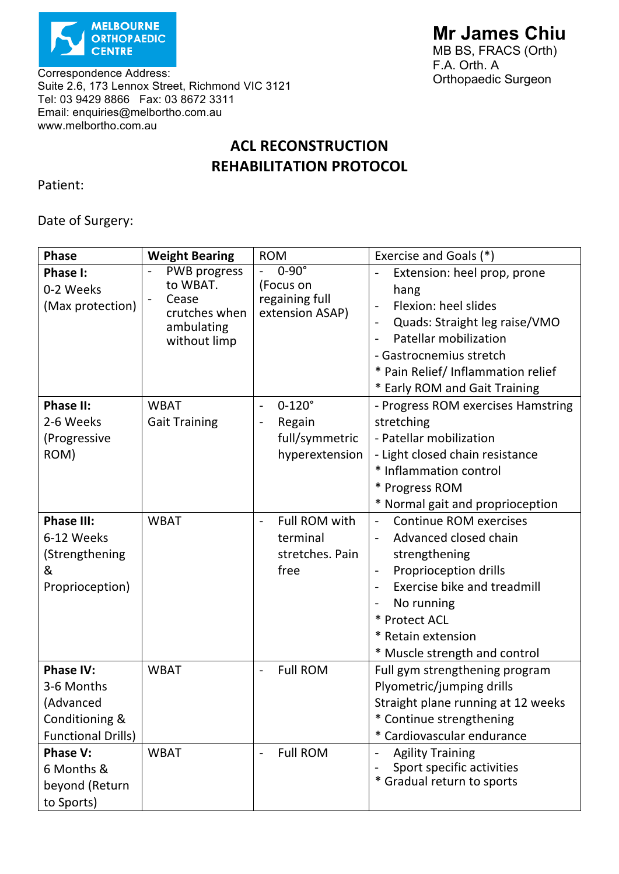

Correspondence Address: Suite 2.6, 173 Lennox Street, Richmond VIC 3121 Tel: 03 9429 8866 Fax: 03 8672 3311 Email: enquiries@melbortho.com.au www.melbortho.com.au

## **ACL RECONSTRUCTION REHABILITATION PROTOCOL**

Patient:

Date of Surgery:

| <b>Phase</b>                                                                                                                                                | <b>Weight Bearing</b>                                                            | <b>ROM</b>                                                                                 | Exercise and Goals (*)                                                                                                                                                                                                                                                                                           |
|-------------------------------------------------------------------------------------------------------------------------------------------------------------|----------------------------------------------------------------------------------|--------------------------------------------------------------------------------------------|------------------------------------------------------------------------------------------------------------------------------------------------------------------------------------------------------------------------------------------------------------------------------------------------------------------|
| Phase I:<br>0-2 Weeks<br>(Max protection)                                                                                                                   | PWB progress<br>to WBAT.<br>Cease<br>crutches when<br>ambulating<br>without limp | $0-90^\circ$<br>(Focus on<br>regaining full<br>extension ASAP)                             | Extension: heel prop, prone<br>$\blacksquare$<br>hang<br>Flexion: heel slides<br>$\qquad \qquad \blacksquare$<br>Quads: Straight leg raise/VMO<br>$\qquad \qquad \blacksquare$<br><b>Patellar mobilization</b><br>- Gastrocnemius stretch<br>* Pain Relief/ Inflammation relief<br>* Early ROM and Gait Training |
| <b>Phase II:</b>                                                                                                                                            | <b>WBAT</b>                                                                      | $0-120^\circ$<br>$\overline{\phantom{a}}$                                                  | - Progress ROM exercises Hamstring                                                                                                                                                                                                                                                                               |
| 2-6 Weeks<br>(Progressive<br>ROM)                                                                                                                           | <b>Gait Training</b>                                                             | Regain<br>$\overline{\phantom{a}}$<br>full/symmetric<br>hyperextension                     | stretching<br>- Patellar mobilization<br>- Light closed chain resistance<br>* Inflammation control<br>* Progress ROM<br>* Normal gait and proprioception                                                                                                                                                         |
| <b>Phase III:</b><br>6-12 Weeks<br>(Strengthening<br>&<br>Proprioception)                                                                                   | <b>WBAT</b>                                                                      | Full ROM with<br>$\overline{\phantom{a}}$<br>terminal<br>stretches. Pain<br>free           | <b>Continue ROM exercises</b><br>$\blacksquare$<br>Advanced closed chain<br>strengthening<br>Proprioception drills<br>$\qquad \qquad \blacksquare$<br><b>Exercise bike and treadmill</b><br>No running<br>$\qquad \qquad \blacksquare$<br>* Protect ACL<br>* Retain extension<br>* Muscle strength and control   |
| <b>Phase IV:</b><br>3-6 Months<br>(Advanced<br>Conditioning &<br><b>Functional Drills)</b><br><b>Phase V:</b><br>6 Months &<br>beyond (Return<br>to Sports) | <b>WBAT</b><br><b>WBAT</b>                                                       | <b>Full ROM</b><br>$\overline{\phantom{a}}$<br><b>Full ROM</b><br>$\overline{\phantom{a}}$ | Full gym strengthening program<br>Plyometric/jumping drills<br>Straight plane running at 12 weeks<br>* Continue strengthening<br>* Cardiovascular endurance<br><b>Agility Training</b><br>$\qquad \qquad -$<br>Sport specific activities<br>* Gradual return to sports                                           |

MB BS, FRACS (Orth) F.A. Orth. A Orthopaedic Surgeon